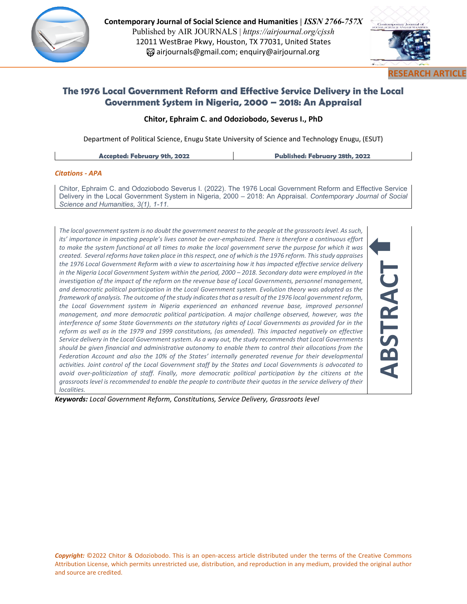

**Contemporary Journal of Social Science and Humanities |** *ISSN 2766-757X*  Published by AIR JOURNALS | *https://airjournal.org/cjssh* 12011 WestBrae Pkwy, Houston, TX 77031, United States airjournals@gmail.com; enquiry@airjournal.org



**ABSTRACT**

# **The 1976 Local Government Reform and Effective Service Delivery in the Local Government System in Nigeria, 2000 – 2018: An Appraisal**

### **Chitor, Ephraim C. and Odoziobodo, Severus I., PhD**

Department of Political Science, Enugu State University of Science and Technology Enugu, (ESUT)

**Accepted: February 9th, 2022 Published: February 28th, 2022**

#### *Citations - APA*

Chitor, Ephraim C. and Odoziobodo Severus I. (2022). The 1976 Local Government Reform and Effective Service Delivery in the Local Government System in Nigeria, 2000 – 2018: An Appraisal. *Contemporary Journal of Social Science and Humanities, 3(1), 1-11.*

*The local government system is no doubt the government nearest to the people at the grassroots level. As such, its' importance in impacting people's lives cannot be over-emphasized. There is therefore a continuous effort to make the system functional at all times to make the local government serve the purpose for which it was created. Several reforms have taken place in this respect, one of which is the 1976 reform. This study appraises the 1976 Local Government Reform with a view to ascertaining how it has impacted effective service delivery in the Nigeria Local Government System within the period, 2000 - 2018. Secondary data were employed in the investigation of the impact of the reform on the revenue base of Local Governments, personnel management, and democratic political participation in the Local Government system. Evolution theory was adopted as the framework of analysis. The outcome of the study indicates that as a result of the 1976 local government reform,*  the Local Government system in Nigeria experienced an enhanced revenue base, improved personnel *management, and more democratic political participation. A major challenge observed, however, was the interference of some State Governments on the statutory rights of Local Governments as provided for in the reform as well as in the 1979 and 1999 constitutions, (as amended). This impacted negatively on effective Service delivery in the Local Government system. As a way out, the study recommends that Local Governments should be given financial and administrative autonomy to enable them to control their allocations from the Federation Account and also the 10% of the States' internally generated revenue for their developmental activities. Joint control of the Local Government staff by the States and Local Governments is advocated to avoid over-politicization of staff. Finally, more democratic political participation by the citizens at the grassroots level is recommended to enable the people to contribute their quotas in the service delivery of their localities.*

*Keywords: Local Government Reform, Constitutions, Service Delivery, Grassroots level*

*Copyright:* ©2022 Chitor & Odoziobodo. This is an open-access article distributed under the terms of the Creative Commons Attribution License, which permits unrestricted use, distribution, and reproduction in any medium, provided the original author and source are credited.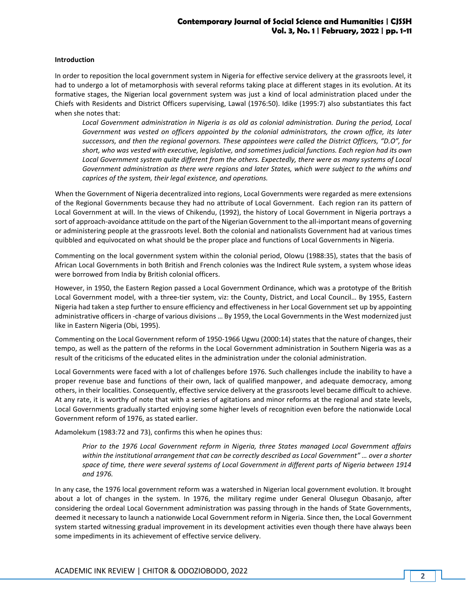#### **Introduction**

In order to reposition the local government system in Nigeria for effective service delivery at the grassroots level, it had to undergo a lot of metamorphosis with several reforms taking place at different stages in its evolution. At its formative stages, the Nigerian local government system was just a kind of local administration placed under the Chiefs with Residents and District Officers supervising, Lawal (1976:50). Idike (1995:7) also substantiates this fact when she notes that:

*Local Government administration in Nigeria is as old as colonial administration. During the period, Local Government was vested on officers appointed by the colonial administrators, the crown office, its later successors, and then the regional governors. These appointees were called the District Officers, "D.O", for short, who was vested with executive, legislative, and sometimes judicial functions. Each region had its own Local Government system quite different from the others. Expectedly, there were as many systems of Local Government administration as there were regions and later States, which were subject to the whims and caprices of the system, their legal existence, and operations.*

When the Government of Nigeria decentralized into regions, Local Governments were regarded as mere extensions of the Regional Governments because they had no attribute of Local Government. Each region ran its pattern of Local Government at will. In the views of Chikendu, (1992), the history of Local Government in Nigeria portrays a sort of approach-avoidance attitude on the part of the Nigerian Government to the all-important means of governing or administering people at the grassroots level. Both the colonial and nationalists Government had at various times quibbled and equivocated on what should be the proper place and functions of Local Governments in Nigeria.

Commenting on the local government system within the colonial period, Olowu (1988:35), states that the basis of African Local Governments in both British and French colonies was the Indirect Rule system, a system whose ideas were borrowed from India by British colonial officers.

However, in 1950, the Eastern Region passed a Local Government Ordinance, which was a prototype of the British Local Government model, with a three-tier system, viz: the County, District, and Local Council… By 1955, Eastern Nigeria had taken a step further to ensure efficiency and effectiveness in her Local Government set up by appointing administrative officers in -charge of various divisions … By 1959, the Local Governments in the West modernized just like in Eastern Nigeria (Obi, 1995).

Commenting on the Local Government reform of 1950-1966 Ugwu (2000:14) states that the nature of changes, their tempo, as well as the pattern of the reforms in the Local Government administration in Southern Nigeria was as a result of the criticisms of the educated elites in the administration under the colonial administration.

Local Governments were faced with a lot of challenges before 1976. Such challenges include the inability to have a proper revenue base and functions of their own, lack of qualified manpower, and adequate democracy, among others, in their localities. Consequently, effective service delivery at the grassroots level became difficult to achieve. At any rate, it is worthy of note that with a series of agitations and minor reforms at the regional and state levels, Local Governments gradually started enjoying some higher levels of recognition even before the nationwide Local Government reform of 1976, as stated earlier.

Adamolekum (1983:72 and 73), confirms this when he opines thus:

*Prior to the 1976 Local Government reform in Nigeria, three States managed Local Government affairs within the institutional arrangement that can be correctly described as Local Government" … over a shorter space of time, there were several systems of Local Government in different parts of Nigeria between 1914 and 1976.* 

In any case, the 1976 local government reform was a watershed in Nigerian local government evolution. It brought about a lot of changes in the system. In 1976, the military regime under General Olusegun Obasanjo, after considering the ordeal Local Government administration was passing through in the hands of State Governments, deemed it necessary to launch a nationwide Local Government reform in Nigeria. Since then, the Local Government system started witnessing gradual improvement in its development activities even though there have always been some impediments in its achievement of effective service delivery.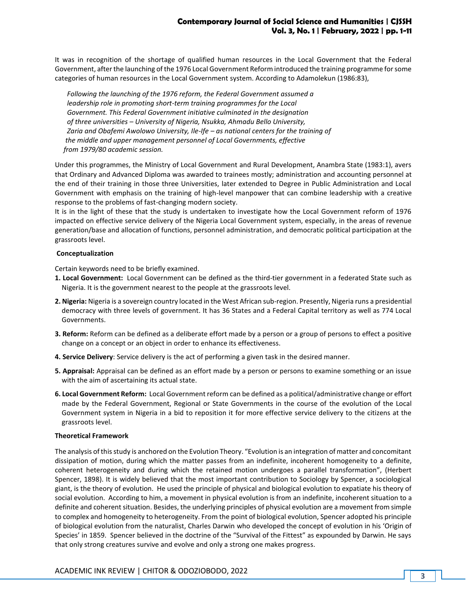It was in recognition of the shortage of qualified human resources in the Local Government that the Federal Government, after the launching of the 1976 Local Government Reform introduced the training programme for some categories of human resources in the Local Government system. According to Adamolekun (1986:83),

 *Following the launching of the 1976 reform, the Federal Government assumed a leadership role in promoting short-term training programmes for the Local Government. This Federal Government initiative culminated in the designation of three universities – University of Nigeria, Nsukka, Ahmadu Bello University, Zaria and Obafemi Awolowo University, Ile-Ife – as national centers for the training of the middle and upper management personnel of Local Governments, effective from 1979/80 academic session.*

Under this programmes, the Ministry of Local Government and Rural Development, Anambra State (1983:1), avers that Ordinary and Advanced Diploma was awarded to trainees mostly; administration and accounting personnel at the end of their training in those three Universities, later extended to Degree in Public Administration and Local Government with emphasis on the training of high-level manpower that can combine leadership with a creative response to the problems of fast-changing modern society.

It is in the light of these that the study is undertaken to investigate how the Local Government reform of 1976 impacted on effective service delivery of the Nigeria Local Government system, especially, in the areas of revenue generation/base and allocation of functions, personnel administration, and democratic political participation at the grassroots level.

### **Conceptualization**

Certain keywords need to be briefly examined.

- **1. Local Government:** Local Government can be defined as the third-tier government in a federated State such as Nigeria. It is the government nearest to the people at the grassroots level.
- **2. Nigeria:** Nigeria is a sovereign country located in the West African sub-region. Presently, Nigeria runs a presidential democracy with three levels of government. It has 36 States and a Federal Capital territory as well as 774 Local Governments.
- **3. Reform:** Reform can be defined as a deliberate effort made by a person or a group of persons to effect a positive change on a concept or an object in order to enhance its effectiveness.
- **4. Service Delivery**: Service delivery is the act of performing a given task in the desired manner.
- **5. Appraisal:** Appraisal can be defined as an effort made by a person or persons to examine something or an issue with the aim of ascertaining its actual state.
- **6. Local Government Reform:** Local Government reform can be defined as a political/administrative change or effort made by the Federal Government, Regional or State Governments in the course of the evolution of the Local Government system in Nigeria in a bid to reposition it for more effective service delivery to the citizens at the grassroots level.

### **Theoretical Framework**

The analysis of this study is anchored on the Evolution Theory. "Evolution is an integration of matter and concomitant dissipation of motion, during which the matter passes from an indefinite, incoherent homogeneity to a definite, coherent heterogeneity and during which the retained motion undergoes a parallel transformation", (Herbert Spencer, 1898). It is widely believed that the most important contribution to Sociology by Spencer, a sociological giant, is the theory of evolution. He used the principle of physical and biological evolution to expatiate his theory of social evolution. According to him, a movement in physical evolution is from an indefinite, incoherent situation to a definite and coherent situation. Besides, the underlying principles of physical evolution are a movement from simple to complex and homogeneity to heterogeneity. From the point of biological evolution, Spencer adopted his principle of biological evolution from the naturalist, Charles Darwin who developed the concept of evolution in his 'Origin of Species' in 1859. Spencer believed in the doctrine of the "Survival of the Fittest" as expounded by Darwin. He says that only strong creatures survive and evolve and only a strong one makes progress.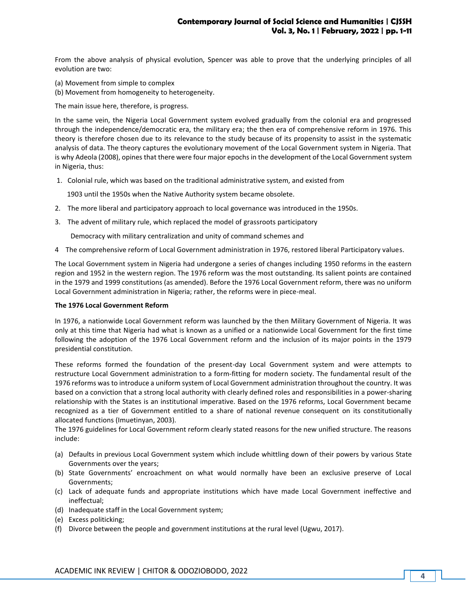From the above analysis of physical evolution, Spencer was able to prove that the underlying principles of all evolution are two:

- (a) Movement from simple to complex
- (b) Movement from homogeneity to heterogeneity.

The main issue here, therefore, is progress.

In the same vein, the Nigeria Local Government system evolved gradually from the colonial era and progressed through the independence/democratic era, the military era; the then era of comprehensive reform in 1976. This theory is therefore chosen due to its relevance to the study because of its propensity to assist in the systematic analysis of data. The theory captures the evolutionary movement of the Local Government system in Nigeria. That is why Adeola (2008), opines that there were four major epochs in the development of the Local Government system in Nigeria, thus:

1. Colonial rule, which was based on the traditional administrative system, and existed from

1903 until the 1950s when the Native Authority system became obsolete.

- 2. The more liberal and participatory approach to local governance was introduced in the 1950s.
- 3. The advent of military rule, which replaced the model of grassroots participatory

Democracy with military centralization and unity of command schemes and

4 The comprehensive reform of Local Government administration in 1976, restored liberal Participatory values.

The Local Government system in Nigeria had undergone a series of changes including 1950 reforms in the eastern region and 1952 in the western region. The 1976 reform was the most outstanding. Its salient points are contained in the 1979 and 1999 constitutions (as amended). Before the 1976 Local Government reform, there was no uniform Local Government administration in Nigeria; rather, the reforms were in piece-meal.

#### **The 1976 Local Government Reform**

In 1976, a nationwide Local Government reform was launched by the then Military Government of Nigeria. It was only at this time that Nigeria had what is known as a unified or a nationwide Local Government for the first time following the adoption of the 1976 Local Government reform and the inclusion of its major points in the 1979 presidential constitution.

These reforms formed the foundation of the present-day Local Government system and were attempts to restructure Local Government administration to a form-fitting for modern society. The fundamental result of the 1976 reforms was to introduce a uniform system of Local Government administration throughout the country. It was based on a conviction that a strong local authority with clearly defined roles and responsibilities in a power-sharing relationship with the States is an institutional imperative. Based on the 1976 reforms, Local Government became recognized as a tier of Government entitled to a share of national revenue consequent on its constitutionally allocated functions (Imuetinyan, 2003).

The 1976 guidelines for Local Government reform clearly stated reasons for the new unified structure. The reasons include:

- (a) Defaults in previous Local Government system which include whittling down of their powers by various State Governments over the years;
- (b) State Governments' encroachment on what would normally have been an exclusive preserve of Local Governments;
- (c) Lack of adequate funds and appropriate institutions which have made Local Government ineffective and ineffectual;
- (d) Inadequate staff in the Local Government system;
- (e) Excess politicking;
- (f) Divorce between the people and government institutions at the rural level (Ugwu, 2017).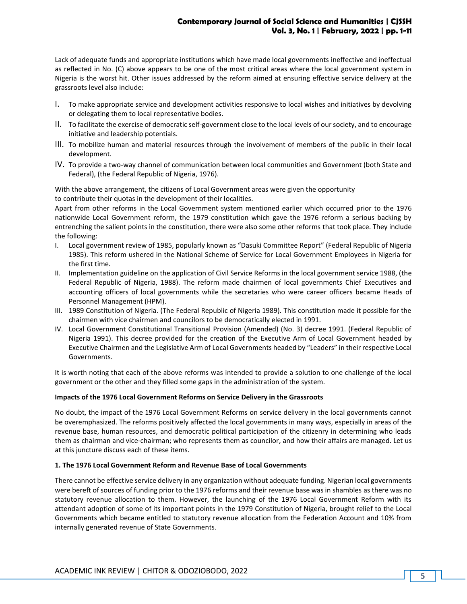Lack of adequate funds and appropriate institutions which have made local governments ineffective and ineffectual as reflected in No. (C) above appears to be one of the most critical areas where the local government system in Nigeria is the worst hit. Other issues addressed by the reform aimed at ensuring effective service delivery at the grassroots level also include:

- I. To make appropriate service and development activities responsive to local wishes and initiatives by devolving or delegating them to local representative bodies.
- II. To facilitate the exercise of democratic self-government close to the local levels of our society, and to encourage initiative and leadership potentials.
- III. To mobilize human and material resources through the involvement of members of the public in their local development.
- IV. To provide a two-way channel of communication between local communities and Government (both State and Federal), (the Federal Republic of Nigeria, 1976).

With the above arrangement, the citizens of Local Government areas were given the opportunity to contribute their quotas in the development of their localities.

Apart from other reforms in the Local Government system mentioned earlier which occurred prior to the 1976 nationwide Local Government reform, the 1979 constitution which gave the 1976 reform a serious backing by entrenching the salient points in the constitution, there were also some other reforms that took place. They include the following:

- I. Local government review of 1985, popularly known as "Dasuki Committee Report" (Federal Republic of Nigeria 1985). This reform ushered in the National Scheme of Service for Local Government Employees in Nigeria for the first time.
- II. Implementation guideline on the application of Civil Service Reforms in the local government service 1988, (the Federal Republic of Nigeria, 1988). The reform made chairmen of local governments Chief Executives and accounting officers of local governments while the secretaries who were career officers became Heads of Personnel Management (HPM).
- III. 1989 Constitution of Nigeria. (The Federal Republic of Nigeria 1989). This constitution made it possible for the chairmen with vice chairmen and councilors to be democratically elected in 1991.
- IV. Local Government Constitutional Transitional Provision (Amended) (No. 3) decree 1991. (Federal Republic of Nigeria 1991). This decree provided for the creation of the Executive Arm of Local Government headed by Executive Chairmen and the Legislative Arm of Local Governments headed by "Leaders" in their respective Local Governments.

It is worth noting that each of the above reforms was intended to provide a solution to one challenge of the local government or the other and they filled some gaps in the administration of the system.

### **Impacts of the 1976 Local Government Reforms on Service Delivery in the Grassroots**

No doubt, the impact of the 1976 Local Government Reforms on service delivery in the local governments cannot be overemphasized. The reforms positively affected the local governments in many ways, especially in areas of the revenue base, human resources, and democratic political participation of the citizenry in determining who leads them as chairman and vice-chairman; who represents them as councilor, and how their affairs are managed. Let us at this juncture discuss each of these items.

#### **1. The 1976 Local Government Reform and Revenue Base of Local Governments**

There cannot be effective service delivery in any organization without adequate funding. Nigerian local governments were bereft of sources of funding prior to the 1976 reforms and their revenue base was in shambles as there was no statutory revenue allocation to them. However, the launching of the 1976 Local Government Reform with its attendant adoption of some of its important points in the 1979 Constitution of Nigeria, brought relief to the Local Governments which became entitled to statutory revenue allocation from the Federation Account and 10% from internally generated revenue of State Governments.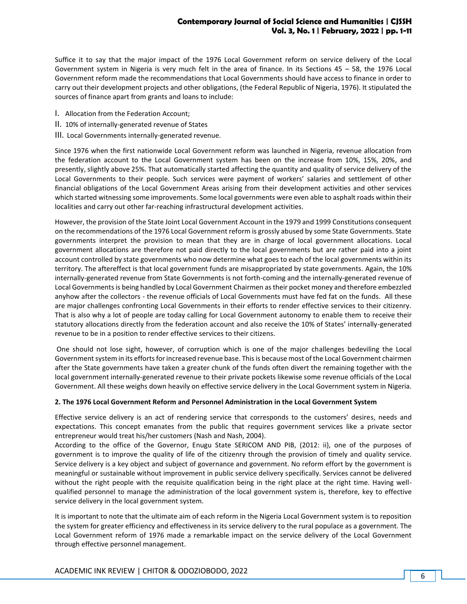Suffice it to say that the major impact of the 1976 Local Government reform on service delivery of the Local Government system in Nigeria is very much felt in the area of finance. In its Sections 45 – 58, the 1976 Local Government reform made the recommendations that Local Governments should have access to finance in order to carry out their development projects and other obligations, (the Federal Republic of Nigeria, 1976). It stipulated the sources of finance apart from grants and loans to include:

- I. Allocation from the Federation Account;
- II. 10% of internally-generated revenue of States
- III. Local Governments internally-generated revenue.

Since 1976 when the first nationwide Local Government reform was launched in Nigeria, revenue allocation from the federation account to the Local Government system has been on the increase from 10%, 15%, 20%, and presently, slightly above 25%. That automatically started affecting the quantity and quality of service delivery of the Local Governments to their people. Such services were payment of workers' salaries and settlement of other financial obligations of the Local Government Areas arising from their development activities and other services which started witnessing some improvements. Some local governments were even able to asphalt roads within their localities and carry out other far-reaching infrastructural development activities.

However, the provision of the State Joint Local Government Account in the 1979 and 1999 Constitutions consequent on the recommendations of the 1976 Local Government reform is grossly abused by some State Governments. State governments interpret the provision to mean that they are in charge of local government allocations. Local government allocations are therefore not paid directly to the local governments but are rather paid into a joint account controlled by state governments who now determine what goes to each of the local governments within its territory. The aftereffect is that local government funds are misappropriated by state governments. Again, the 10% internally-generated revenue from State Governments is not forth-coming and the internally-generated revenue of Local Governments is being handled by Local Government Chairmen as their pocket money and therefore embezzled anyhow after the collectors - the revenue officials of Local Governments must have fed fat on the funds. All these are major challenges confronting Local Governments in their efforts to render effective services to their citizenry. That is also why a lot of people are today calling for Local Government autonomy to enable them to receive their statutory allocations directly from the federation account and also receive the 10% of States' internally-generated revenue to be in a position to render effective services to their citizens.

One should not lose sight, however, of corruption which is one of the major challenges bedeviling the Local Government system in its efforts for increased revenue base. This is because most of the Local Government chairmen after the State governments have taken a greater chunk of the funds often divert the remaining together with the local government internally-generated revenue to their private pockets likewise some revenue officials of the Local Government. All these weighs down heavily on effective service delivery in the Local Government system in Nigeria.

### **2. The 1976 Local Government Reform and Personnel Administration in the Local Government System**

Effective service delivery is an act of rendering service that corresponds to the customers' desires, needs and expectations. This concept emanates from the public that requires government services like a private sector entrepreneur would treat his/her customers (Nash and Nash, 2004).

According to the office of the Governor, Enugu State SERICOM AND PIB, (2012: ii), one of the purposes of government is to improve the quality of life of the citizenry through the provision of timely and quality service. Service delivery is a key object and subject of governance and government. No reform effort by the government is meaningful or sustainable without improvement in public service delivery specifically. Services cannot be delivered without the right people with the requisite qualification being in the right place at the right time. Having wellqualified personnel to manage the administration of the local government system is, therefore, key to effective service delivery in the local government system.

It is important to note that the ultimate aim of each reform in the Nigeria Local Government system is to reposition the system for greater efficiency and effectiveness in its service delivery to the rural populace as a government. The Local Government reform of 1976 made a remarkable impact on the service delivery of the Local Government through effective personnel management.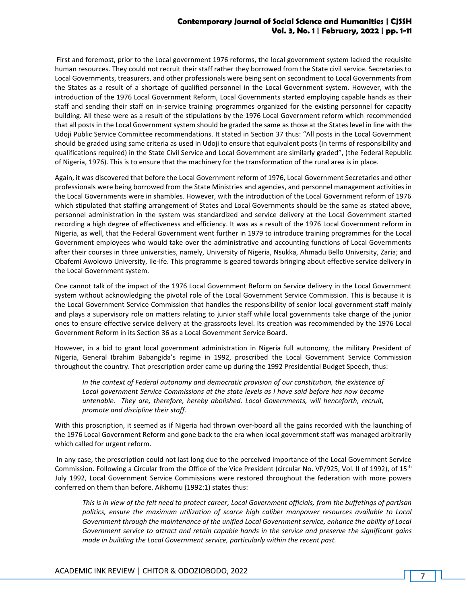First and foremost, prior to the Local government 1976 reforms, the local government system lacked the requisite human resources. They could not recruit their staff rather they borrowed from the State civil service. Secretaries to Local Governments, treasurers, and other professionals were being sent on secondment to Local Governments from the States as a result of a shortage of qualified personnel in the Local Government system. However, with the introduction of the 1976 Local Government Reform, Local Governments started employing capable hands as their staff and sending their staff on in-service training programmes organized for the existing personnel for capacity building. All these were as a result of the stipulations by the 1976 Local Government reform which recommended that all posts in the Local Government system should be graded the same as those at the States level in line with the Udoji Public Service Committee recommendations. It stated in Section 37 thus: "All posts in the Local Government should be graded using same criteria as used in Udoji to ensure that equivalent posts (in terms of responsibility and qualifications required) in the State Civil Service and Local Government are similarly graded", (the Federal Republic of Nigeria, 1976). This is to ensure that the machinery for the transformation of the rural area is in place.

Again, it was discovered that before the Local Government reform of 1976, Local Government Secretaries and other professionals were being borrowed from the State Ministries and agencies, and personnel management activities in the Local Governments were in shambles. However, with the introduction of the Local Government reform of 1976 which stipulated that staffing arrangement of States and Local Governments should be the same as stated above, personnel administration in the system was standardized and service delivery at the Local Government started recording a high degree of effectiveness and efficiency. It was as a result of the 1976 Local Government reform in Nigeria, as well, that the Federal Government went further in 1979 to introduce training programmes for the Local Government employees who would take over the administrative and accounting functions of Local Governments after their courses in three universities, namely, University of Nigeria, Nsukka, Ahmadu Bello University, Zaria; and Obafemi Awolowo University, Ile-Ife. This programme is geared towards bringing about effective service delivery in the Local Government system.

One cannot talk of the impact of the 1976 Local Government Reform on Service delivery in the Local Government system without acknowledging the pivotal role of the Local Government Service Commission. This is because it is the Local Government Service Commission that handles the responsibility of senior local government staff mainly and plays a supervisory role on matters relating to junior staff while local governments take charge of the junior ones to ensure effective service delivery at the grassroots level. Its creation was recommended by the 1976 Local Government Reform in its Section 36 as a Local Government Service Board.

However, in a bid to grant local government administration in Nigeria full autonomy, the military President of Nigeria, General Ibrahim Babangida's regime in 1992, proscribed the Local Government Service Commission throughout the country. That prescription order came up during the 1992 Presidential Budget Speech, thus:

*In the context of Federal autonomy and democratic provision of our constitution, the existence of*  Local government Service Commissions at the state levels as I have said before has now become *untenable. They are, therefore, hereby abolished. Local Governments, will henceforth, recruit, promote and discipline their staff.*

With this proscription, it seemed as if Nigeria had thrown over-board all the gains recorded with the launching of the 1976 Local Government Reform and gone back to the era when local government staff was managed arbitrarily which called for urgent reform.

In any case, the prescription could not last long due to the perceived importance of the Local Government Service Commission. Following a Circular from the Office of the Vice President (circular No. VP/925, Vol. II of 1992), of 15th July 1992, Local Government Service Commissions were restored throughout the federation with more powers conferred on them than before. Aikhomu (1992:1) states thus:

*This is in view of the felt need to protect career, Local Government officials, from the buffetings of partisan politics, ensure the maximum utilization of scarce high caliber manpower resources available to Local Government through the maintenance of the unified Local Government service, enhance the ability of Local Government service to attract and retain capable hands in the service and preserve the significant gains made in building the Local Government service, particularly within the recent past.*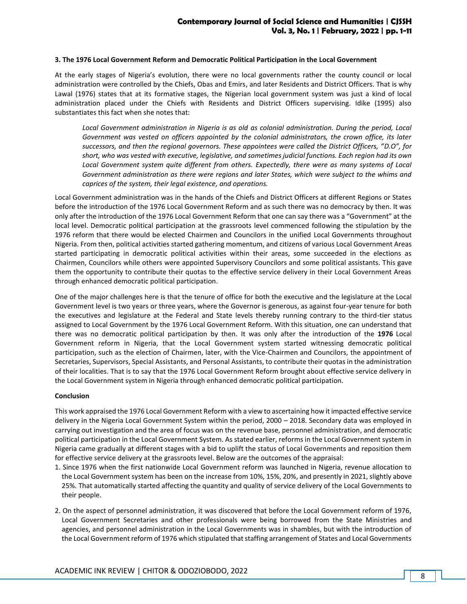#### **3. The 1976 Local Government Reform and Democratic Political Participation in the Local Government**

At the early stages of Nigeria's evolution, there were no local governments rather the county council or local administration were controlled by the Chiefs, Obas and Emirs, and later Residents and District Officers. That is why Lawal (1976) states that at its formative stages, the Nigerian local government system was just a kind of local administration placed under the Chiefs with Residents and District Officers supervising. Idike (1995) also substantiates this fact when she notes that:

*Local Government administration in Nigeria is as old as colonial administration. During the period, Local Government was vested on officers appointed by the colonial administrators, the crown office, its later successors, and then the regional governors. These appointees were called the District Officers, "D.O", for short, who was vested with executive, legislative, and sometimes judicial functions. Each region had its own Local Government system quite different from others. Expectedly, there were as many systems of Local Government administration as there were regions and later States, which were subject to the whims and caprices of the system, their legal existence, and operations.*

Local Government administration was in the hands of the Chiefs and District Officers at different Regions or States before the introduction of the 1976 Local Government Reform and as such there was no democracy by then. It was only after the introduction of the 1976 Local Government Reform that one can say there was a "Government" at the local level. Democratic political participation at the grassroots level commenced following the stipulation by the 1976 reform that there would be elected Chairmen and Councilors in the unified Local Governments throughout Nigeria. From then, political activities started gathering momentum, and citizens of various Local Government Areas started participating in democratic political activities within their areas, some succeeded in the elections as Chairmen, Councilors while others were appointed Supervisory Councilors and some political assistants. This gave them the opportunity to contribute their quotas to the effective service delivery in their Local Government Areas through enhanced democratic political participation.

One of the major challenges here is that the tenure of office for both the executive and the legislature at the Local Government level is two years or three years, where the Governor is generous, as against four-year tenure for both the executives and legislature at the Federal and State levels thereby running contrary to the third-tier status assigned to Local Government by the 1976 Local Government Reform. With this situation, one can understand that there was no democratic political participation by then. It was only after the introduction of the **1976** Local Government reform in Nigeria, that the Local Government system started witnessing democratic political participation, such as the election of Chairmen, later, with the Vice-Chairmen and Councilors, the appointment of Secretaries, Supervisors, Special Assistants, and Personal Assistants, to contribute their quotas in the administration of their localities. That is to say that the 1976 Local Government Reform brought about effective service delivery in the Local Government system in Nigeria through enhanced democratic political participation.

#### **Conclusion**

This work appraised the 1976 Local Government Reform with a view to ascertaining how it impacted effective service delivery in the Nigeria Local Government System within the period, 2000 – 2018. Secondary data was employed in carrying out investigation and the area of focus was on the revenue base, personnel administration, and democratic political participation in the Local Government System. As stated earlier, reforms in the Local Government system in Nigeria came gradually at different stages with a bid to uplift the status of Local Governments and reposition them for effective service delivery at the grassroots level. Below are the outcomes of the appraisal:

- 1. Since 1976 when the first nationwide Local Government reform was launched in Nigeria, revenue allocation to the Local Government system has been on the increase from 10%, 15%, 20%, and presently in 2021, slightly above 25%. That automatically started affecting the quantity and quality of service delivery of the Local Governments to their people.
- 2. On the aspect of personnel administration, it was discovered that before the Local Government reform of 1976, Local Government Secretaries and other professionals were being borrowed from the State Ministries and agencies, and personnel administration in the Local Governments was in shambles, but with the introduction of the Local Government reform of 1976 which stipulated that staffing arrangement of States and Local Governments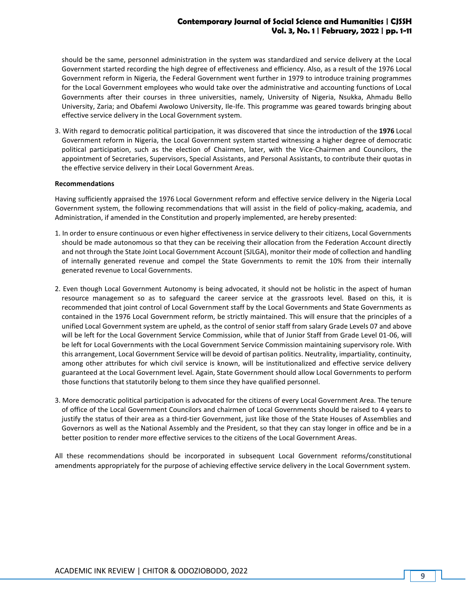should be the same, personnel administration in the system was standardized and service delivery at the Local Government started recording the high degree of effectiveness and efficiency. Also, as a result of the 1976 Local Government reform in Nigeria, the Federal Government went further in 1979 to introduce training programmes for the Local Government employees who would take over the administrative and accounting functions of Local Governments after their courses in three universities, namely, University of Nigeria, Nsukka, Ahmadu Bello University, Zaria; and Obafemi Awolowo University, Ile-Ife. This programme was geared towards bringing about effective service delivery in the Local Government system.

3. With regard to democratic political participation, it was discovered that since the introduction of the **1976** Local Government reform in Nigeria, the Local Government system started witnessing a higher degree of democratic political participation, such as the election of Chairmen, later, with the Vice-Chairmen and Councilors, the appointment of Secretaries, Supervisors, Special Assistants, and Personal Assistants, to contribute their quotas in the effective service delivery in their Local Government Areas.

#### **Recommendations**

Having sufficiently appraised the 1976 Local Government reform and effective service delivery in the Nigeria Local Government system, the following recommendations that will assist in the field of policy-making, academia, and Administration, if amended in the Constitution and properly implemented, are hereby presented:

- 1. In order to ensure continuous or even higher effectiveness in service delivery to their citizens, Local Governments should be made autonomous so that they can be receiving their allocation from the Federation Account directly and not through the State Joint Local Government Account (SJLGA), monitor their mode of collection and handling of internally generated revenue and compel the State Governments to remit the 10% from their internally generated revenue to Local Governments.
- 2. Even though Local Government Autonomy is being advocated, it should not be holistic in the aspect of human resource management so as to safeguard the career service at the grassroots level. Based on this, it is recommended that joint control of Local Government staff by the Local Governments and State Governments as contained in the 1976 Local Government reform, be strictly maintained. This will ensure that the principles of a unified Local Government system are upheld, as the control of senior staff from salary Grade Levels 07 and above will be left for the Local Government Service Commission, while that of Junior Staff from Grade Level 01-06, will be left for Local Governments with the Local Government Service Commission maintaining supervisory role. With this arrangement, Local Government Service will be devoid of partisan politics. Neutrality, impartiality, continuity, among other attributes for which civil service is known, will be institutionalized and effective service delivery guaranteed at the Local Government level. Again, State Government should allow Local Governments to perform those functions that statutorily belong to them since they have qualified personnel.
- 3. More democratic political participation is advocated for the citizens of every Local Government Area. The tenure of office of the Local Government Councilors and chairmen of Local Governments should be raised to 4 years to justify the status of their area as a third-tier Government, just like those of the State Houses of Assemblies and Governors as well as the National Assembly and the President, so that they can stay longer in office and be in a better position to render more effective services to the citizens of the Local Government Areas.

All these recommendations should be incorporated in subsequent Local Government reforms/constitutional amendments appropriately for the purpose of achieving effective service delivery in the Local Government system.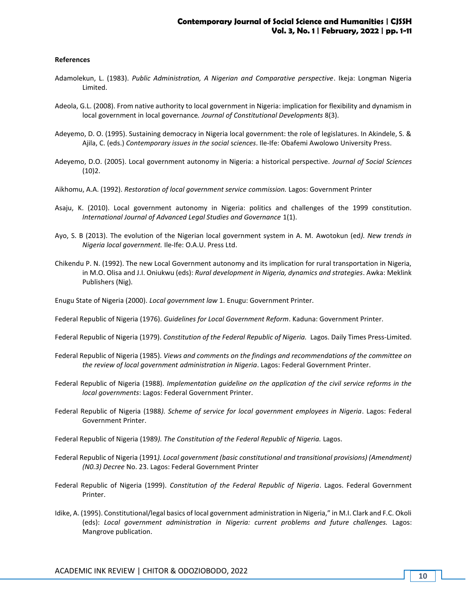#### **References**

- Adamolekun, L. (1983). *Public Administration, A Nigerian and Comparative perspective*. Ikeja: Longman Nigeria Limited.
- Adeola, G.L. (2008). From native authority to local government in Nigeria: implication for flexibility and dynamism in local government in local governance*. Journal of Constitutional Developments* 8(3).
- Adeyemo, D. O. (1995). Sustaining democracy in Nigeria local government: the role of legislatures. In Akindele, S. & Ajila, C. (eds.) *Contemporary issues in the social* s*ciences*. Ile-Ife: Obafemi Awolowo University Press.
- Adeyemo, D.O. (2005). Local government autonomy in Nigeria: a historical perspective. *Journal of Social Sciences*  $(10)2.$
- Aikhomu, A.A. (1992). *Restoration of local government service commission.* Lagos: Government Printer
- Asaju, K. (2010). Local government autonomy in Nigeria: politics and challenges of the 1999 constitution*. International Journal of Advanced Legal Studies and Governance* 1(1).
- Ayo, S. B (2013). The evolution of the Nigerian local government system in A. M. Awotokun (ed*). New trends in Nigeria local government.* Ile-Ife: O.A.U. Press Ltd.
- Chikendu P. N. (1992). The new Local Government autonomy and its implication for rural transportation in Nigeria, in M.O. Olisa and J.I. Oniukwu (eds): *Rural development in Nigeria, dynamics and strategies*. Awka: Meklink Publishers (Nig).
- Enugu State of Nigeria (2000). *Local government law* 1. Enugu: Government Printer.
- Federal Republic of Nigeria (1976). *Guidelines for Local Government Reform*. Kaduna: Government Printer.
- Federal Republic of Nigeria (1979). *Constitution of the Federal Republic of Nigeria.* Lagos. Daily Times Press-Limited.
- Federal Republic of Nigeria (1985). *Views and comments on the findings and recommendations of the committee on the review of local government administration in Nigeria*. Lagos: Federal Government Printer.
- Federal Republic of Nigeria (1988). *Implementation guideline on the application of the civil service reforms in the local governments*: Lagos: Federal Government Printer.
- Federal Republic of Nigeria (1988*). Scheme of service for local government employees in Nigeria*. Lagos: Federal Government Printer.
- Federal Republic of Nigeria (1989*). The Constitution of the Federal Republic of Nigeria.* Lagos.
- Federal Republic of Nigeria (1991*). Local government (basic constitutional and transitional provisions) (Amendment) (N0.3) Decree* No. 23. Lagos: Federal Government Printer
- Federal Republic of Nigeria (1999). *Constitution of the Federal Republic of Nigeria*. Lagos. Federal Government Printer.
- Idike, A. (1995). Constitutional/legal basics of local government administration in Nigeria," in M.I. Clark and F.C. Okoli (eds): *Local government administration in Nigeria: current problems and future challenges.* Lagos: Mangrove publication.